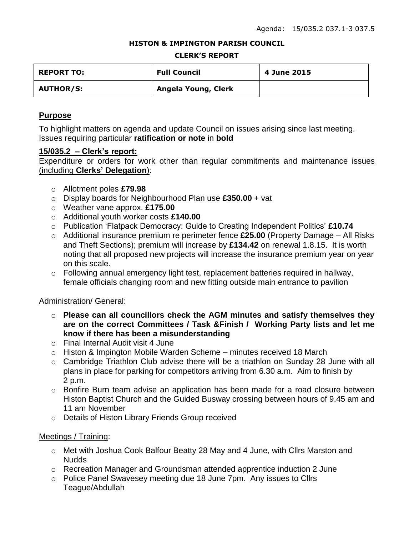#### **HISTON & IMPINGTON PARISH COUNCIL**

#### **CLERK'S REPORT**

| <b>REPORT TO:</b> | <b>Full Council</b> | 4 June 2015 |
|-------------------|---------------------|-------------|
| <b>AUTHOR/S:</b>  | Angela Young, Clerk |             |

# **Purpose**

To highlight matters on agenda and update Council on issues arising since last meeting. Issues requiring particular **ratification or note** in **bold**

### **15/035.2 – Clerk's report:**

Expenditure or orders for work other than regular commitments and maintenance issues (including **Clerks' Delegation**):

- o Allotment poles **£79.98**
- o Display boards for Neighbourhood Plan use **£350.00** + vat
- o Weather vane approx. **£175.00**
- o Additional youth worker costs **£140.00**
- o Publication 'Flatpack Democracy: Guide to Creating Independent Politics' **£10.74**
- o Additional insurance premium re perimeter fence **£25.00** (Property Damage All Risks and Theft Sections); premium will increase by **£134.42** on renewal 1.8.15. It is worth noting that all proposed new projects will increase the insurance premium year on year on this scale.
- o Following annual emergency light test, replacement batteries required in hallway, female officials changing room and new fitting outside main entrance to pavilion

# Administration/ General:

- o **Please can all councillors check the AGM minutes and satisfy themselves they are on the correct Committees / Task &Finish / Working Party lists and let me know if there has been a misunderstanding**
- o Final Internal Audit visit 4 June
- $\circ$  Histon & Impington Mobile Warden Scheme minutes received 18 March
- o Cambridge Triathlon Club advise there will be a triathlon on Sunday 28 June with all plans in place for parking for competitors arriving from 6.30 a.m. Aim to finish by 2 p.m.
- o Bonfire Burn team advise an application has been made for a road closure between Histon Baptist Church and the Guided Busway crossing between hours of 9.45 am and 11 am November
- o Details of Histon Library Friends Group received

# Meetings / Training:

- o Met with Joshua Cook Balfour Beatty 28 May and 4 June, with Cllrs Marston and Nudds
- o Recreation Manager and Groundsman attended apprentice induction 2 June
- o Police Panel Swavesey meeting due 18 June 7pm. Any issues to Cllrs Teague/Abdullah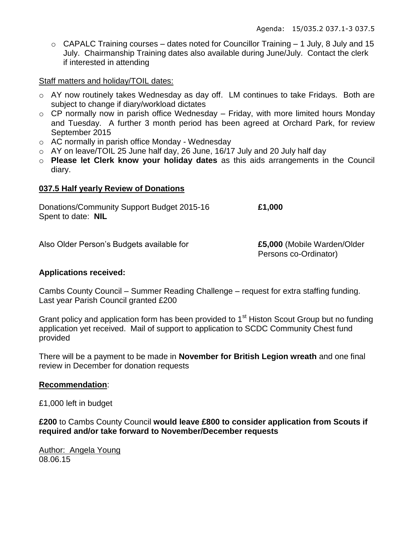$\circ$  CAPALC Training courses – dates noted for Councillor Training – 1 July, 8 July and 15 July. Chairmanship Training dates also available during June/July. Contact the clerk if interested in attending

Staff matters and holiday/TOIL dates:

- o AY now routinely takes Wednesday as day off. LM continues to take Fridays. Both are subject to change if diary/workload dictates
- $\circ$  CP normally now in parish office Wednesday Friday, with more limited hours Monday and Tuesday. A further 3 month period has been agreed at Orchard Park, for review September 2015
- o AC normally in parish office Monday Wednesday
- $\circ$  AY on leave/TOIL 25 June half day, 26 June, 16/17 July and 20 July half day
- o **Please let Clerk know your holiday dates** as this aids arrangements in the Council diary.

### **037.5 Half yearly Review of Donations**

Donations/Community Support Budget 2015-16 **£1,000** Spent to date: **NIL**

Also Older Person's Budgets available for **£5,000** (Mobile Warden/Older

Persons co-Ordinator)

### **Applications received:**

Cambs County Council – Summer Reading Challenge – request for extra staffing funding. Last year Parish Council granted £200

Grant policy and application form has been provided to 1<sup>st</sup> Histon Scout Group but no funding application yet received. Mail of support to application to SCDC Community Chest fund provided

There will be a payment to be made in **November for British Legion wreath** and one final review in December for donation requests

### **Recommendation**:

£1,000 left in budget

**£200** to Cambs County Council **would leave £800 to consider application from Scouts if required and/or take forward to November/December requests**

Author: Angela Young 08.06.15